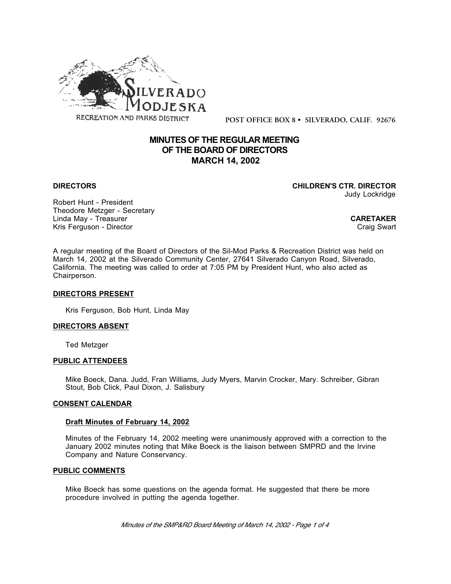

**POST OFFICE BOX 8 • SILVERADO, CALIF. 92676**

# **MINUTES OF THE REGULAR MEETING OF THE BOARD OF DIRECTORS MARCH 14, 2002**

**DIRECTORS CHILDREN'S CTR. DIRECTOR** Judy Lockridge

Robert Hunt - President Theodore Metzger - Secretary Linda May - Treasurer **CARETAKER** Kris Ferguson - Director

A regular meeting of the Board of Directors of the Sil-Mod Parks & Recreation District was held on March 14, 2002 at the Silverado Community Center, 27641 Silverado Canyon Road, Silverado, California. The meeting was called to order at 7:05 PM by President Hunt, who also acted as Chairperson.

## **DIRECTORS PRESENT**

Kris Ferguson, Bob Hunt, Linda May

## **DIRECTORS ABSENT**

Ted Metzger

## **PUBLIC ATTENDEES**

Mike Boeck, Dana. Judd, Fran Williams, Judy Myers, Marvin Crocker, Mary. Schreiber, Gibran Stout, Bob Click, Paul Dixon, J. Salisbury

## **CONSENT CALENDAR**

## **Draft Minutes of February 14, 2002**

Minutes of the February 14, 2002 meeting were unanimously approved with a correction to the January 2002 minutes noting that Mike Boeck is the liaison between SMPRD and the Irvine Company and Nature Conservancy.

## **PUBLIC COMMENTS**

Mike Boeck has some questions on the agenda format. He suggested that there be more procedure involved in putting the agenda together.

*Minutes of the SMP&RD Board Meeting of March 14, 2002 - Page 1 of 4*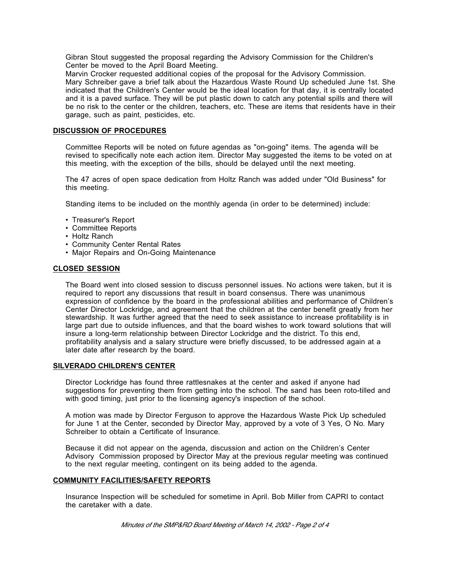Gibran Stout suggested the proposal regarding the Advisory Commission for the Children's Center be moved to the April Board Meeting.

Marvin Crocker requested additional copies of the proposal for the Advisory Commission. Mary Schreiber gave a brief talk about the Hazardous Waste Round Up scheduled June 1st. She indicated that the Children's Center would be the ideal location for that day, it is centrally located and it is a paved surface. They will be put plastic down to catch any potential spills and there will be no risk to the center or the children, teachers, etc. These are items that residents have in their garage, such as paint, pesticides, etc.

## **DISCUSSION OF PROCEDURES**

Committee Reports will be noted on future agendas as "on-going" items. The agenda will be revised to specifically note each action item. Director May suggested the items to be voted on at this meeting, with the exception of the bills, should be delayed until the next meeting.

The 47 acres of open space dedication from Holtz Ranch was added under "Old Business" for this meeting.

Standing items to be included on the monthly agenda (in order to be determined) include:

- Treasurer's Report
- Committee Reports
- Holtz Ranch
- Community Center Rental Rates
- Major Repairs and On-Going Maintenance

## **CLOSED SESSION**

The Board went into closed session to discuss personnel issues. No actions were taken, but it is required to report any discussions that result in board consensus. There was unanimous expression of confidence by the board in the professional abilities and performance of Children's Center Director Lockridge, and agreement that the children at the center benefit greatly from her stewardship. It was further agreed that the need to seek assistance to increase profitability is in large part due to outside influences, and that the board wishes to work toward solutions that will insure a long-term relationship between Director Lockridge and the district. To this end, profitability analysis and a salary structure were briefly discussed, to be addressed again at a later date after research by the board.

## **SILVERADO CHILDREN'S CENTER**

Director Lockridge has found three rattlesnakes at the center and asked if anyone had suggestions for preventing them from getting into the school. The sand has been roto-tilled and with good timing, just prior to the licensing agency's inspection of the school.

A motion was made by Director Ferguson to approve the Hazardous Waste Pick Up scheduled for June 1 at the Center, seconded by Director May, approved by a vote of 3 Yes, O No. Mary Schreiber to obtain a Certificate of Insurance.

Because it did not appear on the agenda, discussion and action on the Children's Center Advisory Commission proposed by Director May at the previous regular meeting was continued to the next regular meeting, contingent on its being added to the agenda.

## **COMMUNITY FACILITIES/SAFETY REPORTS**

Insurance Inspection will be scheduled for sometime in April. Bob Miller from CAPRI to contact the caretaker with a date.

*Minutes of the SMP&RD Board Meeting of March 14, 2002 - Page 2 of 4*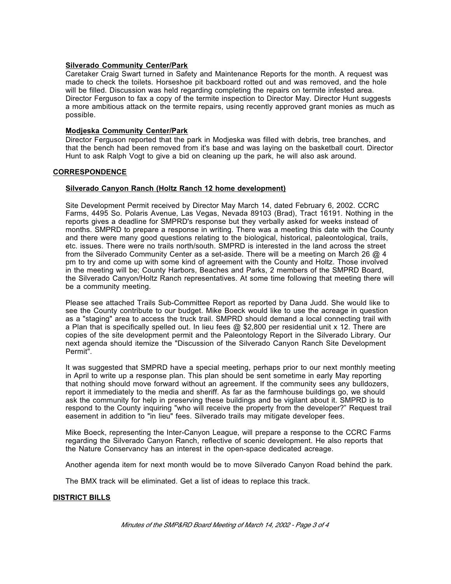## **Silverado Community Center/Park**

Caretaker Craig Swart turned in Safety and Maintenance Reports for the month. A request was made to check the toilets. Horseshoe pit backboard rotted out and was removed, and the hole will be filled. Discussion was held regarding completing the repairs on termite infested area. Director Ferguson to fax a copy of the termite inspection to Director May. Director Hunt suggests a more ambitious attack on the termite repairs, using recently approved grant monies as much as possible.

## **Modjeska Community Center/Park**

Director Ferguson reported that the park in Modjeska was filled with debris, tree branches, and that the bench had been removed from it's base and was laying on the basketball court. Director Hunt to ask Ralph Vogt to give a bid on cleaning up the park, he will also ask around.

## **CORRESPONDENCE**

## **Silverado Canyon Ranch (Holtz Ranch 12 home development)**

Site Development Permit received by Director May March 14, dated February 6, 2002. CCRC Farms, 4495 So. Polaris Avenue, Las Vegas, Nevada 89103 (Brad), Tract 16191. Nothing in the reports gives a deadline for SMPRD's response but they verbally asked for weeks instead of months. SMPRD to prepare a response in writing. There was a meeting this date with the County and there were many good questions relating to the biological, historical, paleontological, trails, etc. issues. There were no trails north/south. SMPRD is interested in the land across the street from the Silverado Community Center as a set-aside. There will be a meeting on March 26 @ 4 pm to try and come up with some kind of agreement with the County and Holtz. Those involved in the meeting will be; County Harbors, Beaches and Parks, 2 members of the SMPRD Board, the Silverado Canyon/Holtz Ranch representatives. At some time following that meeting there will be a community meeting.

Please see attached Trails Sub-Committee Report as reported by Dana Judd. She would like to see the County contribute to our budget. Mike Boeck would like to use the acreage in question as a "staging" area to access the truck trail. SMPRD should demand a local connecting trail with a Plan that is specifically spelled out. In lieu fees @ \$2,800 per residential unit x 12. There are copies of the site development permit and the Paleontology Report in the Silverado Library. Our next agenda should itemize the "Discussion of the Silverado Canyon Ranch Site Development Permit".

It was suggested that SMPRD have a special meeting, perhaps prior to our next monthly meeting in April to write up a response plan. This plan should be sent sometime in early May reporting that nothing should move forward without an agreement. If the community sees any bulldozers, report it immediately to the media and sheriff. As far as the farmhouse buildings go, we should ask the community for help in preserving these buildings and be vigilant about it. SMPRD is to respond to the County inquiring "who will receive the property from the developer?" Request trail easement in addition to "in lieu" fees. Silverado trails may mitigate developer fees.

Mike Boeck, representing the Inter-Canyon League, will prepare a response to the CCRC Farms regarding the Silverado Canyon Ranch, reflective of scenic development. He also reports that the Nature Conservancy has an interest in the open-space dedicated acreage.

Another agenda item for next month would be to move Silverado Canyon Road behind the park.

The BMX track will be eliminated. Get a list of ideas to replace this track.

## **DISTRICT BILLS**